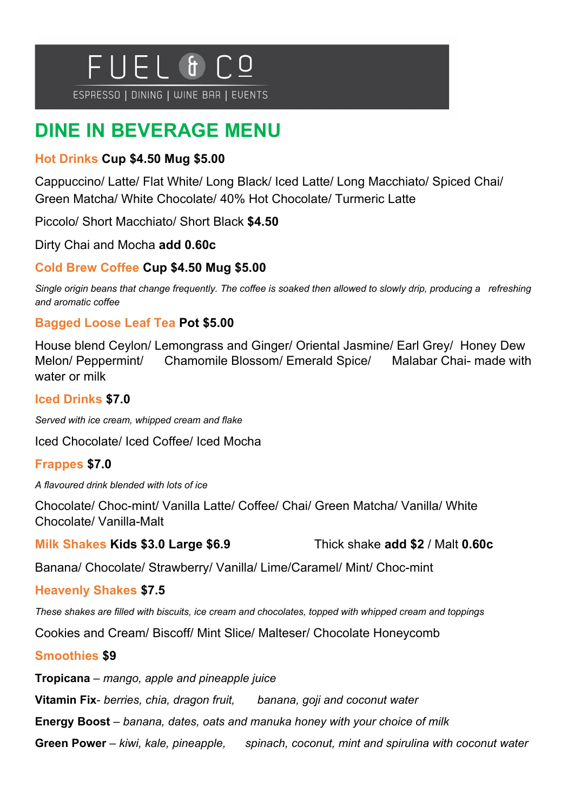

ESPRESSO | DINING | WINE BAR | EVENTS

# **DINE IN BEVERAGE MENU**

#### **Hot Drinks Cup \$4.50 Mug \$5.00**

Cappuccino/ Latte/ Flat White/ Long Black/ Iced Latte/ Long Macchiato/ Spiced Chai/ Green Matcha/ White Chocolate/ 40% Hot Chocolate/ Turmeric Latte

Piccolo/ Short Macchiato/ Short Black **\$4.50**

Dirty Chai and Mocha **add 0.60c**

#### **Cold Brew Coffee Cup \$4.50 Mug \$5.00**

*Single origin beans that change frequently. The coffee is soaked then allowed to slowly drip, producing a refreshing and aromatic coffee*

#### **Bagged Loose Leaf Tea Pot \$5.00**

House blend Ceylon/ Lemongrass and Ginger/ Oriental Jasmine/ Earl Grey/ Honey Dew Melon/ Peppermint/ Chamomile Blossom/ Emerald Spice/ Malabar Chai- made with water or milk

#### **Iced Drinks \$7.0**

*Served with ice cream, whipped cream and flake* 

Iced Chocolate/ Iced Coffee/ Iced Mocha

### **Frappes \$7.0**

*A flavoured drink blended with lots of ice*

Chocolate/ Choc-mint/ Vanilla Latte/ Coffee/ Chai/ Green Matcha/ Vanilla/ White Chocolate/ Vanilla-Malt

**Milk Shakes Kids \$3.0 Large \$6.9** Thick shake **add \$2** / Malt **0.60c**

Banana/ Chocolate/ Strawberry/ Vanilla/ Lime/Caramel/ Mint/ Choc-mint

#### **Heavenly Shakes \$7.5**

*These shakes are filled with biscuits, ice cream and chocolates, topped with whipped cream and toppings*

Cookies and Cream/ Biscoff/ Mint Slice/ Malteser/ Chocolate Honeycomb

#### **Smoothies \$9**

**Tropicana** – *mango, apple and pineapple juice*

**Vitamin Fix**- *berries, chia, dragon fruit, banana, goji and coconut water*

**Energy Boost** – *banana, dates, oats and manuka honey with your choice of milk*

**Green Power** – *kiwi, kale, pineapple, spinach, coconut, mint and spirulina with coconut water*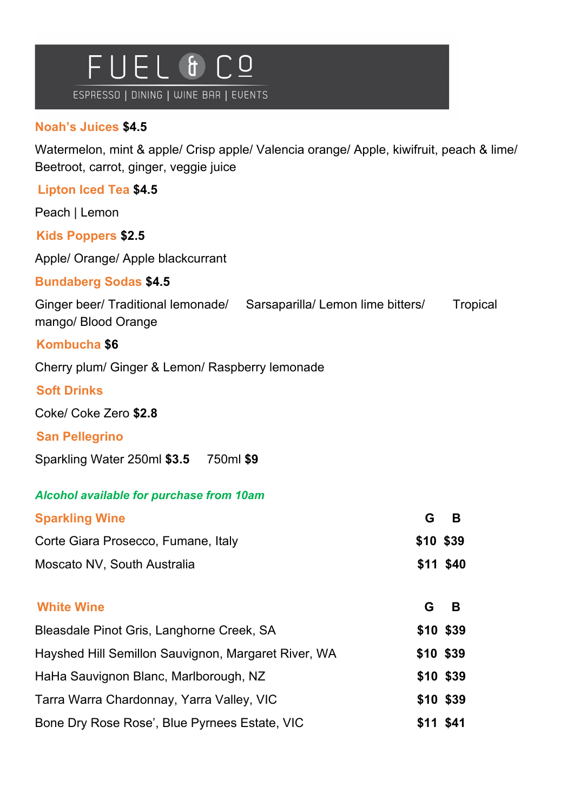

# **Noah's Juices \$4.5**

Watermelon, mint & apple/ Crisp apple/ Valencia orange/ Apple, kiwifruit, peach & lime/ Beetroot, carrot, ginger, veggie juice

| <b>Lipton Iced Tea \$4.5</b>                                                                   |           |          |  |
|------------------------------------------------------------------------------------------------|-----------|----------|--|
| Peach   Lemon                                                                                  |           |          |  |
| <b>Kids Poppers \$2.5</b>                                                                      |           |          |  |
| Apple/ Orange/ Apple blackcurrant                                                              |           |          |  |
| <b>Bundaberg Sodas \$4.5</b>                                                                   |           |          |  |
| Ginger beer/ Traditional lemonade/<br>Sarsaparilla/ Lemon lime bitters/<br>mango/ Blood Orange |           | Tropical |  |
| Kombucha \$6                                                                                   |           |          |  |
| Cherry plum/ Ginger & Lemon/ Raspberry lemonade                                                |           |          |  |
| <b>Soft Drinks</b>                                                                             |           |          |  |
| Coke/ Coke Zero \$2.8                                                                          |           |          |  |
| <b>San Pellegrino</b>                                                                          |           |          |  |
| Sparkling Water 250ml \$3.5 750ml \$9                                                          |           |          |  |
| <b>Alcohol available for purchase from 10am</b>                                                |           |          |  |
| <b>Sparkling Wine</b>                                                                          | G         | B        |  |
| Corte Giara Prosecco, Fumane, Italy                                                            | \$10 \$39 |          |  |
| Moscato NV, South Australia                                                                    | \$11 \$40 |          |  |
| <b>White Wine</b>                                                                              | G.        | в        |  |
| Bleasdale Pinot Gris, Langhorne Creek, SA                                                      | \$10 \$39 |          |  |
| Hayshed Hill Semillon Sauvignon, Margaret River, WA                                            | \$10 \$39 |          |  |
| HaHa Sauvignon Blanc, Marlborough, NZ                                                          | \$10 \$39 |          |  |
| Tarra Warra Chardonnay, Yarra Valley, VIC                                                      | \$10 \$39 |          |  |
| Bone Dry Rose Rose', Blue Pyrnees Estate, VIC                                                  | \$11 \$41 |          |  |
|                                                                                                |           |          |  |